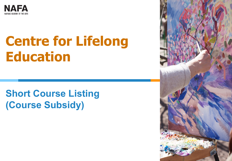

## **Centre for Lifelong Education**

### **Short Course Listing (Course Subsidy)**

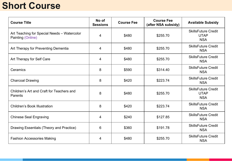#### **Short Course**

| <b>Course Title</b>                                              | No of<br><b>Sessions</b> | <b>Course Fee</b> | <b>Course Fee</b><br>(after NSA subsidy) | <b>Available Subsidy</b>                                |
|------------------------------------------------------------------|--------------------------|-------------------|------------------------------------------|---------------------------------------------------------|
| Art Teaching for Special Needs - Watercolor<br>Painting (Online) | 4                        | \$480             | \$255.70                                 | <b>SkillsFuture Credit</b><br><b>UTAP</b><br><b>NSA</b> |
| Art Therapy for Preventing Dementia                              | 4                        | \$480             | \$255.70                                 | <b>SkillsFuture Credit</b><br><b>NSA</b>                |
| Art Therapy for Self Care                                        | 4                        | \$480             | \$255.70                                 | <b>SkillsFuture Credit</b><br><b>NSA</b>                |
| Ceramics                                                         | 8                        | \$590             | \$314.40                                 | <b>SkillsFuture Credit</b><br><b>NSA</b>                |
| <b>Charcoal Drawing</b>                                          | 8                        | \$420             | \$223.74                                 | <b>SkillsFuture Credit</b><br><b>NSA</b>                |
| Children's Art and Craft for Teachers and<br>Parents             | 8                        | \$480             | \$255.70                                 | <b>SkillsFuture Credit</b><br><b>UTAP</b><br><b>NSA</b> |
| <b>Children's Book Illustration</b>                              | 8                        | \$420             | \$223.74                                 | <b>SkillsFuture Credit</b><br><b>NSA</b>                |
| <b>Chinese Seal Engraving</b>                                    | 4                        | \$240             | \$127.85                                 | <b>SkillsFuture Credit</b><br><b>NSA</b>                |
| Drawing Essentials (Theory and Practice)                         | 6                        | \$360             | \$191.78                                 | <b>SkillsFuture Credit</b><br><b>NSA</b>                |
| <b>Fashion Accessories Making</b>                                | 4                        | \$480             | \$255.70                                 | <b>SkillsFuture Credit</b><br><b>NSA</b>                |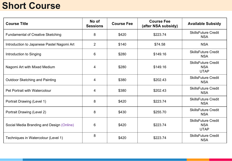#### **Short Course**

| <b>Course Title</b>                        | No of<br><b>Sessions</b> | <b>Course Fee</b> | <b>Course Fee</b><br>(after NSA subsidy) | <b>Available Subsidy</b>                                |
|--------------------------------------------|--------------------------|-------------------|------------------------------------------|---------------------------------------------------------|
| <b>Fundamental of Creative Sketching</b>   | 8                        | \$420             | \$223.74                                 | <b>SkillsFuture Credit</b><br><b>NSA</b>                |
| Introduction to Japanese Pastel Nagomi Art | 2                        | \$140             | \$74.58                                  | <b>NSA</b>                                              |
| Introduction to Singing                    | 6                        | \$280             | \$149.16                                 | <b>SkillsFuture Credit</b><br><b>NSA</b>                |
| Nagomi Art with Mixed Medium               | 4                        | \$280             | \$149.16                                 | <b>SkillsFuture Credit</b><br><b>NSA</b><br><b>UTAP</b> |
| <b>Outdoor Sketching and Painting</b>      | 4                        | \$380             | \$202.43                                 | <b>SkillsFuture Credit</b><br><b>NSA</b>                |
| <b>Pet Portrait with Watercolour</b>       | 4                        | \$380             | \$202.43                                 | <b>SkillsFuture Credit</b><br><b>NSA</b>                |
| Portrait Drawing (Level 1)                 | 8                        | \$420             | \$223.74                                 | <b>SkillsFuture Credit</b><br><b>NSA</b>                |
| Portrait Drawing (Level 2)                 | 8                        | \$430             | \$255.70                                 | <b>SkillsFuture Credit</b><br><b>NSA</b>                |
| Social Media Branding and Design (Online)  | 6                        | \$420             | \$223.74                                 | <b>SkillsFuture Credit</b><br><b>NSA</b><br><b>UTAP</b> |
| Techniques in Watercolour (Level 1)        | 8                        | \$420             | \$223.74                                 | <b>SkillsFuture Credit</b><br><b>NSA</b>                |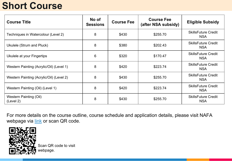#### **Short Course**

| <b>Course Title</b>                        | No of<br><b>Sessions</b> | <b>Course Fee</b> | <b>Course Fee</b><br>(after NSA subsidy) | <b>Eligible Subsidy</b>                  |
|--------------------------------------------|--------------------------|-------------------|------------------------------------------|------------------------------------------|
| Techniques in Watercolour (Level 2)        | 8                        | \$430             | \$255.70                                 | <b>SkillsFuture Credit</b><br><b>NSA</b> |
| Ukulele (Strum and Pluck)                  | 8                        | \$380             | \$202.43                                 | <b>SkillsFuture Credit</b><br><b>NSA</b> |
| Ukulele at your Fingertips                 | 6                        | \$320             | \$170.47                                 | <b>SkillsFuture Credit</b><br><b>NSA</b> |
| Western Painting (Acrylic/Oil) (Level 1)   | 8                        | \$420             | \$223.74                                 | <b>SkillsFuture Credit</b><br><b>NSA</b> |
| Western Painting (Acrylic/Oil) (Level 2)   | 8                        | \$430             | \$255.70                                 | <b>SkillsFuture Credit</b><br><b>NSA</b> |
| Western Painting (Oil) (Level 1)           | 8                        | \$420             | \$223.74                                 | <b>SkillsFuture Credit</b><br><b>NSA</b> |
| <b>Western Painting (Oil)</b><br>(Level 2) | 8                        | \$430             | \$255.70                                 | <b>SkillsFuture Credit</b><br><b>NSA</b> |

For more details on the course outline, course schedule and application details, please visit NAFA webpage via [link](https://www.nafa.edu.sg/courses/part-time/short-courses) or scan QR code.



Scan QR code to visit webpage.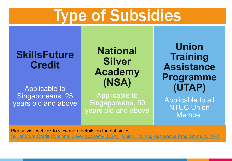# Type of Subsidies

#### **SkillsFuture Credit**

#### Applicable to Singaporeans, 25 years old and above

**National Silver Academy (NSA)**

Applicable to Singaporeans, 50 years old and above

**Union Training Assistance Programme (UTAP)**

Applicable to all **NTUC Union** Member

Please visit weblink to view more details on the subsidies [SkillsFuture](https://www.myskillsfuture.gov.sg/content/portal/en/index.html) Credit | [National Silver Academy \(NSA\) |](https://www.c3a.org.sg/short-courses) [Union Training Assistance Programme](http://skillsupgrade.ntuc.org.sg/wps/portal/skillsupgrade/home/skillsupgradeavailable/featuredindustries/featuredindustriesdetails?WCM_GLOBAL_CONTEXT=/content_library/skillsupgrade/home/skills+upgrade+available/featured+industries/da9571804f32741a9d86fdbda6c1e78c) (UTAP)